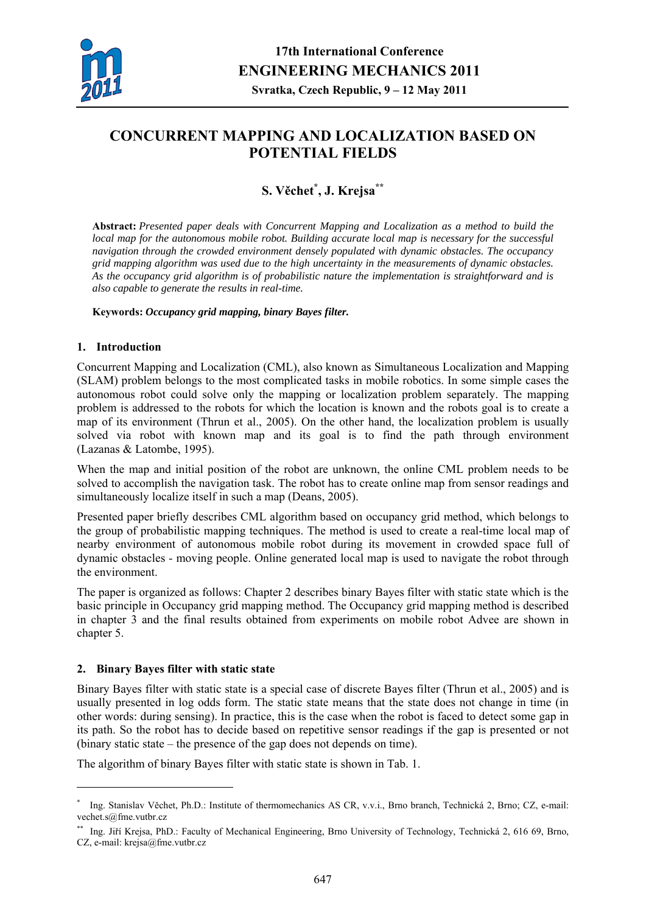

# **CONCURRENT MAPPING AND LOCALIZATION BASED ON POTENTIAL FIELDS**

# **S. Věchet\* , J. Krejsa\*\***

**Abstract:** *Presented paper deals with Concurrent Mapping and Localization as a method to build the local map for the autonomous mobile robot. Building accurate local map is necessary for the successful navigation through the crowded environment densely populated with dynamic obstacles. The occupancy grid mapping algorithm was used due to the high uncertainty in the measurements of dynamic obstacles. As the occupancy grid algorithm is of probabilistic nature the implementation is straightforward and is also capable to generate the results in real-time.* 

# **Keywords:** *Occupancy grid mapping, binary Bayes filter.*

# **1. Introduction**

Concurrent Mapping and Localization (CML), also known as Simultaneous Localization and Mapping (SLAM) problem belongs to the most complicated tasks in mobile robotics. In some simple cases the autonomous robot could solve only the mapping or localization problem separately. The mapping problem is addressed to the robots for which the location is known and the robots goal is to create a map of its environment (Thrun et al., 2005). On the other hand, the localization problem is usually solved via robot with known map and its goal is to find the path through environment (Lazanas & Latombe, 1995).

When the map and initial position of the robot are unknown, the online CML problem needs to be solved to accomplish the navigation task. The robot has to create online map from sensor readings and simultaneously localize itself in such a map (Deans, 2005).

Presented paper briefly describes CML algorithm based on occupancy grid method, which belongs to the group of probabilistic mapping techniques. The method is used to create a real-time local map of nearby environment of autonomous mobile robot during its movement in crowded space full of dynamic obstacles - moving people. Online generated local map is used to navigate the robot through the environment.

The paper is organized as follows: Chapter 2 describes binary Bayes filter with static state which is the basic principle in Occupancy grid mapping method. The Occupancy grid mapping method is described in chapter 3 and the final results obtained from experiments on mobile robot Advee are shown in chapter 5.

# **2. Binary Bayes filter with static state**

1

Binary Bayes filter with static state is a special case of discrete Bayes filter (Thrun et al., 2005) and is usually presented in log odds form. The static state means that the state does not change in time (in other words: during sensing). In practice, this is the case when the robot is faced to detect some gap in its path. So the robot has to decide based on repetitive sensor readings if the gap is presented or not (binary static state – the presence of the gap does not depends on time).

The algorithm of binary Bayes filter with static state is shown in Tab. 1.

<sup>\*</sup> Ing. Stanislav Věchet, Ph.D.: Institute of thermomechanics AS CR, v.v.i., Brno branch, Technická 2, Brno; CZ, e-mail: vechet.s@fme.vutbr.cz

<sup>\*\*</sup> Ing. Jiří Krejsa, PhD.: Faculty of Mechanical Engineering, Brno University of Technology, Technická 2, 616 69, Brno, CZ, e-mail: krejsa@fme.vutbr.cz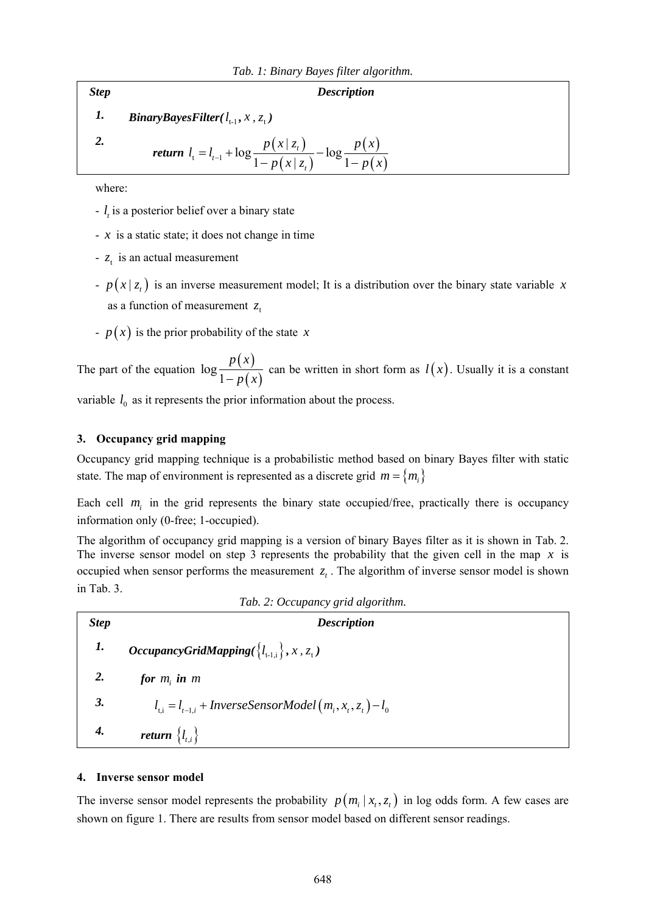#### *Step Description*

*1.* BinaryBayesFilter( $l_{t-1}$ ,  $x$ ,  $z_t$ )

$$
2.
$$

*return*  $l_1 = l_{t-1} + \log \frac{p(x | z_t)}{p(z_t)}$  $(x | z_t)$  $(x)$  $p(x | z_t)$ <br>t =  $l_{t-1}$  +  $\log \frac{p(x | z_t)}{1 - p(x | z_t)}$  -  $\log \frac{p(x)}{1 - p(x)}$ *t t*  $l_{i} = l_{i-1} + \log \frac{p(x | z_{i})}{(z_{i-1} - z_{i})} - \log \frac{p(x)}{z_{i-1}}$  $=$  $l_{t-1}$  +  $\log \frac{P(x|x_t)}{1 - p(x | z_t)} - \log \frac{P(x)}{1 - p(x_t)}$ 

where:

- *t l* is a posterior belief over a binary state
- *x* is a static state; it does not change in time
- $-z<sub>t</sub>$  is an actual measurement
- $p(x | z_t)$  is an inverse measurement model; It is a distribution over the binary state variable *x* as a function of measurement  $z_t$
- $-p(x)$  is the prior probability of the state *x*

The part of the equation  $\log \frac{p(x)}{1-p(x)}$ *p x* − *p x* can be written in short form as  $l(x)$ . Usually it is a constant

variable  $l_0$  as it represents the prior information about the process.

# **3. Occupancy grid mapping**

Occupancy grid mapping technique is a probabilistic method based on binary Bayes filter with static state. The map of environment is represented as a discrete grid  $m = \{m_i\}$ 

Each cell  $m<sub>i</sub>$  in the grid represents the binary state occupied/free, practically there is occupancy information only (0-free; 1-occupied).

The algorithm of occupancy grid mapping is a version of binary Bayes filter as it is shown in Tab. 2. The inverse sensor model on step 3 represents the probability that the given cell in the map *x* is occupied when sensor performs the measurement  $z<sub>t</sub>$ . The algorithm of inverse sensor model is shown in Tab. 3.

| Tab. 2: Occupancy grid algorithm. |                                                                        |  |  |  |  |  |
|-----------------------------------|------------------------------------------------------------------------|--|--|--|--|--|
| <b>Step</b>                       | <b>Description</b>                                                     |  |  |  |  |  |
| 1.                                | <i>OccupancyGridMapping</i> $\{l_{t-1,i}\}, x, z_t$ )                  |  |  |  |  |  |
| 2.                                | for $m_i$ in $m_i$                                                     |  |  |  |  |  |
| 3.                                | $l_{\text{ti}} = l_{t-1,i} + Inverse SensorModel(m_i, x_t, z_t) - l_0$ |  |  |  |  |  |
| 4.                                | return $\{l_{t,i}\}\$                                                  |  |  |  |  |  |

#### **4. Inverse sensor model**

The inverse sensor model represents the probability  $p(m_i | x_t, z_t)$  in log odds form. A few cases are shown on figure 1. There are results from sensor model based on different sensor readings.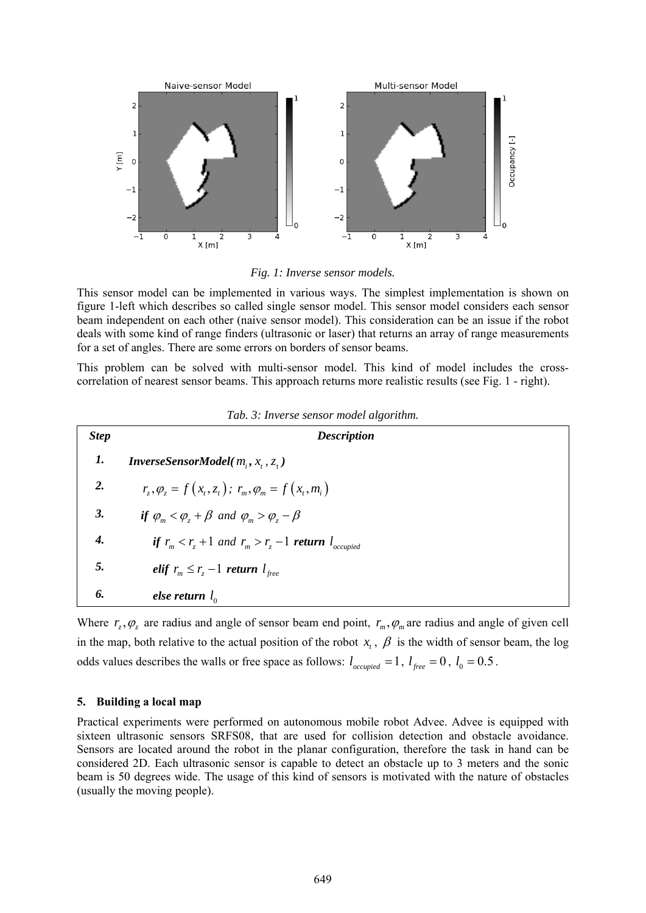

*Fig. 1: Inverse sensor models.* 

This sensor model can be implemented in various ways. The simplest implementation is shown on figure 1-left which describes so called single sensor model. This sensor model considers each sensor beam independent on each other (naive sensor model). This consideration can be an issue if the robot deals with some kind of range finders (ultrasonic or laser) that returns an array of range measurements for a set of angles. There are some errors on borders of sensor beams.

This problem can be solved with multi-sensor model. This kind of model includes the crosscorrelation of nearest sensor beams. This approach returns more realistic results (see Fig. 1 - right).

| <b>Step</b> | <b>Description</b>                                                                               |  |  |
|-------------|--------------------------------------------------------------------------------------------------|--|--|
| 1.          | <b>InverseSensorModel</b> ( $m_i, x_i, z_i$ )                                                    |  |  |
| 2.          | $r_{1}, \varphi_{1} = f(x_{1}, z_{1})$ ; $r_{m}, \varphi_{m} = f(x_{1}, m_{1})$                  |  |  |
| 3.          | if $\varphi_m < \varphi_{\overline{r}} + \beta$ and $\varphi_m > \varphi_{\overline{r}} - \beta$ |  |  |
| 4.          | if $r_m < r_r + 1$ and $r_m > r_z - 1$ return $l_{occupied}$                                     |  |  |
| 5.          | elif $r_m \leq r_z - 1$ return $l_{free}$                                                        |  |  |
| 6.          | else return $l_0$                                                                                |  |  |

|  |  |  |  | Tab. 3: Inverse sensor model algorithm. |
|--|--|--|--|-----------------------------------------|
|--|--|--|--|-----------------------------------------|

Where  $r_z, \varphi_z$  are radius and angle of sensor beam end point,  $r_m, \varphi_m$  are radius and angle of given cell in the map, both relative to the actual position of the robot  $x_t$ ,  $\beta$  is the width of sensor beam, the log odds values describes the walls or free space as follows:  $l_{occupied} = 1$ ,  $l_{free} = 0$ ,  $l_0 = 0.5$ .

#### **5. Building a local map**

Practical experiments were performed on autonomous mobile robot Advee. Advee is equipped with sixteen ultrasonic sensors SRFS08, that are used for collision detection and obstacle avoidance. Sensors are located around the robot in the planar configuration, therefore the task in hand can be considered 2D. Each ultrasonic sensor is capable to detect an obstacle up to 3 meters and the sonic beam is 50 degrees wide. The usage of this kind of sensors is motivated with the nature of obstacles (usually the moving people).